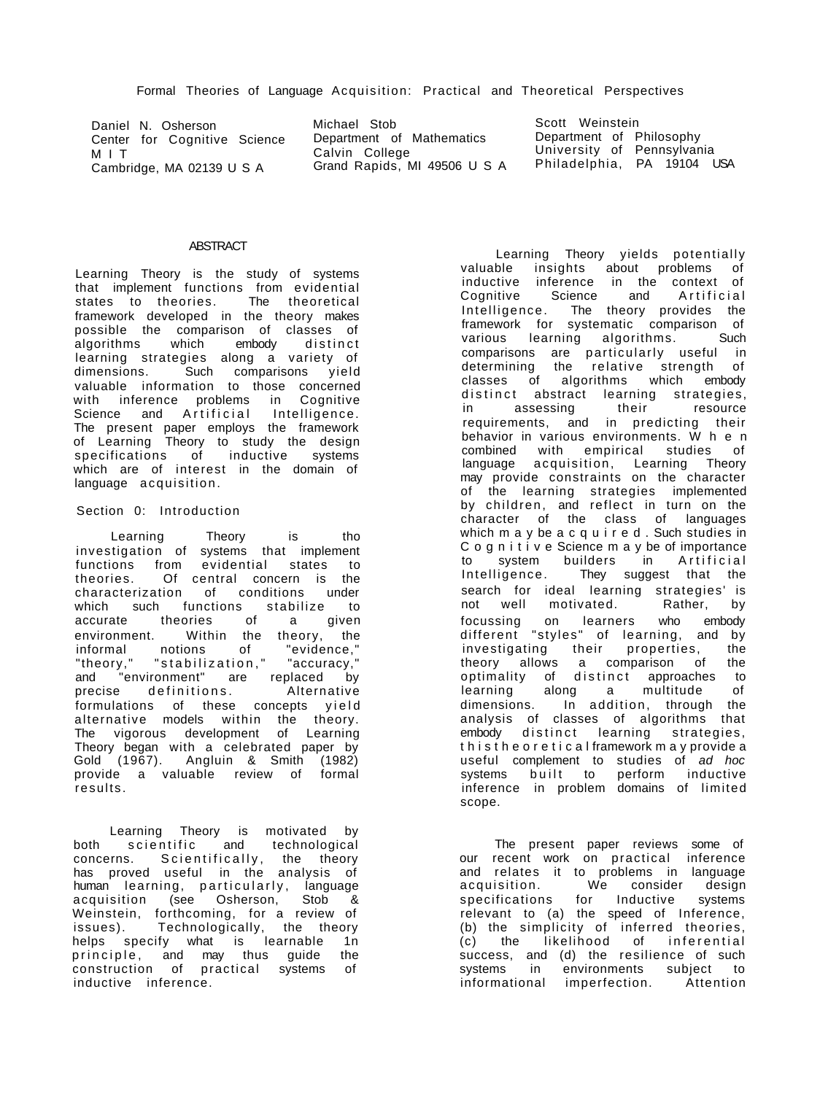Daniel N. Osherson Center for Cognitive Science M I T Cambridge, MA 02139 U S A

Michael Stob Department of Mathematics Calvin College Grand Rapids, MI 49506 U S A Philadelphia, PA 19104 USA

Scott Weinstein Department of Philosophy University of Pennsylvania

# **ABSTRACT**

Learning Theory is the study of systems that implement functions from evidential states to theories. The theoretical framework developed in the theory makes possible the comparison of classes of algorithms which embody distinct learning strategies along a variety of dimensions. Such comparisons yield valuable information to those concerned with inference problems in Cognitive Science and Artificial Intelligence. The present paper employs the framework of Learning Theory to study the design specifications of inductive systems which are of interest in the domain of language acquisition.

# Section 0: Introduction

Learning Theory is tho investigation of systems that implement functions from evidential states to theories. Of central concern is the characterization of conditions under which such functions stabilize to accurate theories of a given environment. Within the theory, the informal notions of "evidence," "theory," "stabilization," "accuracy," and "environment" are replaced by precise definitions. Alternative formulations of these concepts yield alternative models within the theory. The vigorous development of Learning Theory began with a celebrated paper by Gold (1967). Angluin & Smith (1982) provide a valuable review of formal .<br>results.

Learning Theory is motivated by both scientific and technological concerns. Scientifically, the theory has proved useful in the analysis of human learning, particularly, language acquisition (see Osherson, Stob & Weinstein, forthcoming, for a review of issues). Technologically, the theory helps specify what is learnable 1n<br>principle, and may thus quide the principle, and may thus guide the construction of practical systems of inductive inference.

Learning Theory yields potentially valuable insights about problems of inductive inference in the context of Cognitive Science and Artificial Intelligence. The theory provides the framework for systematic comparison of various learning algorithms. Such comparisons are particularly useful in determining the relative strength of classes of algorithms which embody distinct abstract learning strategies, in assessing their resource requirements, and in predicting their behavior in various environments. W h e n combined with empirical studies of language acquisition, Learning Theory may provide constraints on the character of the learning strategies implemented by children, and reflect in turn on the character of the class of languages which m a y be a c q u i r e d . Such studies in C o g n i t i v e Science m a y be of importance to system builders in Artificial Intelligence. They suggest that the search for ideal learning strategies' is not well motivated. Rather, by focussing on learners who embody different "styles" of learning, and by investigating their properties, the theory allows a comparison of the optimality of distinct approaches to learning along a multitude of dimensions. In addition, through the analysis of classes of algorithms that embody distinct learning strategies, t h i s t h e o r e t i c a l framework m a y provide a useful complement to studies of ad hoc systems built to perform inductive inference in problem domains of limited scope.

The present paper reviews some of our recent work on practical inference and relates it to problems in language acquisition. We consider design specifications for Inductive systems relevant to (a) the speed of Inference, (b) the simplicity of inferred theories, (c) the likelihood of inferential success, and (d) the resilience of such systems in environments subject to informational imperfection. Attention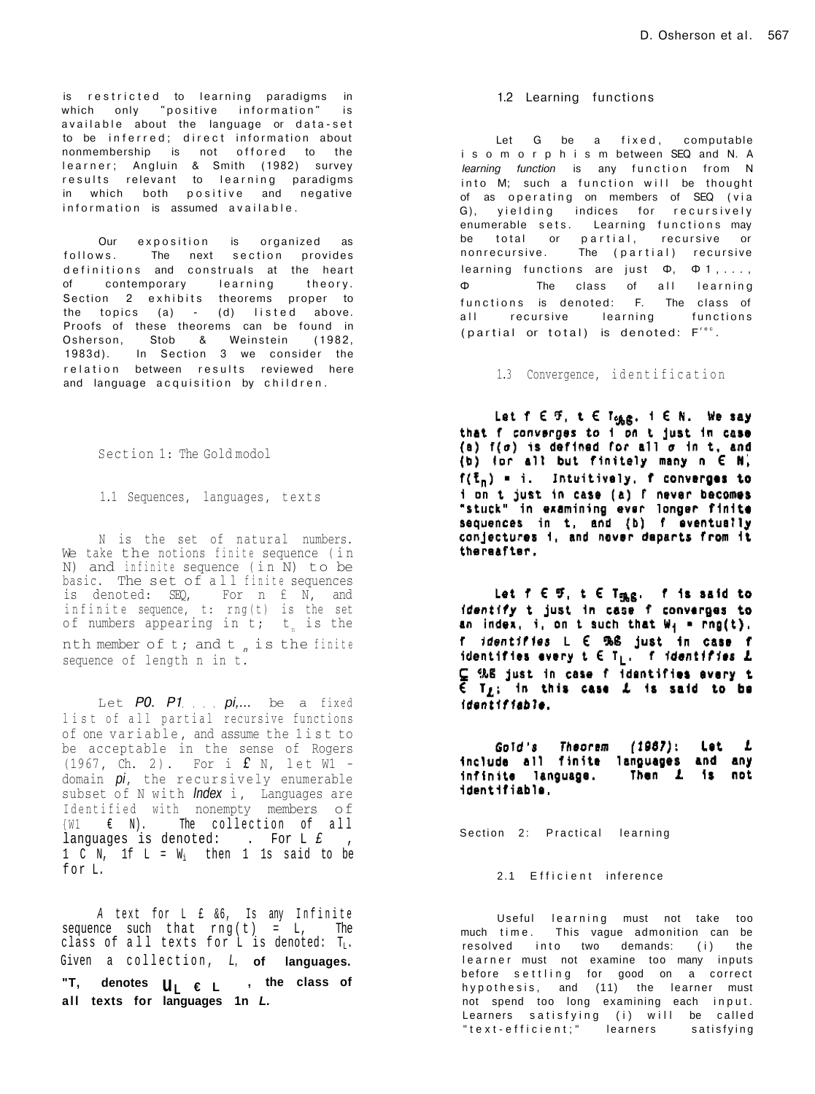is restricted to learning paradigms in which only "positive information" is available about the language or data-set to be inferred; direct information about nonmembership is not offored to the learner; Angluin & Smith (1982) survey results relevant to learning paradigms in which both positive and negative information is assumed available.

Our exposition is organized as follows. The next section provides definitions and construals at the heart of contemporary learning theory. Section 2 exhibits theorems proper to the topics  $(a)$  -  $(d)$  listed above. Proofs of these theorems can be found in Osherson, Stob & Weinstein (1982 , 1983d). In Section 3 we consider the relation between results reviewed here and language acquisition by children.

Section 1: The Gold modol

1.1 Sequences, languages, texts

N is the set of natural numbers. We take the notions finite sequence (in N) and infinite sequence (in  $N$ ) to be basic. The set of all finite sequences is denoted: SEQ, For n £ N, and infinite sequence, t:  $rng(t)$  is the set of numbers appearing in  $t$ ;  $t_n$  is the nth member of t; and t is the finite sequence of length n in t.

Let PO. P1 pi... be a fixed list of all partial recursive functions of one variable, and assume the list to be acceptable in the sense of Rogers (1967, Ch. 2). For i  $f N$ , let  $\overline{W1}$  domain  $pi$ , the recursively enumerable subset of N with *Index* i, Languages are<br>Identified with nonempty members of  $\{W1 \in \mathbb{N}\}.$  The collection of all languages is denoted: . For  $L \nvert L^*$ ,  $1 \text{ C N}$ ,  $1 \text{ f L} = W_i$  then  $1 \text{ ls said to be}$ for L.

A text for  $L$   $f$   $\&6$ , Is any Infinite sequence such that  $rng(t) = L$ , The class of all texts for L is denoted:  $T_L$ . Given a collection , L, **of languages. "T, denotes uL € L , the class of all texts for languages 1n L.** 

### 1.2 Learning functions

Let G be a fixed, computable i s o m o r p h i s m between SEQ and N. A *learning function* is any function from N into M; such a function will be thought of as operating on members of SEQ (via G), yielding indices for recursively enumerable sets. Learning functions may be total or partial, recursive or nonrecursive. The (partial) recursive learning functions are just  $\Phi$ ,  $\Phi$  1, ..., Φ The class of all learning functions is denoted: F. The class of all recursive learning functions (partial or total) is denoted:  $F^{\text{rec}}$ .

1.3 Convergence, identification

Let  $f \in \mathcal{F}$ ,  $t \in T_{c, g, g}$ ,  $i \in N$ . We say that f converges to i on t just in case (a)  $f(\sigma)$  is defined for all  $\sigma$  in t, and (b) for all but finitely many n E N,  $f(\bar{t}_n) = i$ . Intuitively, f converges to ion t just in case (a) f never becomes<br>"stuck" in examining ever longer finite<br>sequences in t, and (b) f eventually conjectures i, and never departs from it thereafter,

Let  $f \in \mathfrak{R}$ , t  $\in$  T $_{\mathfrak{R} \mathbf{S}}$ . f is said to identify t just in case f converges to an index, i, on t such that  $W_1$  = rng(t). f *identifies*  $L \in \mathbb{R}$  just in case f<br>identifies every  $t \in T_L$ . *f identifies* L  $C$  %8 just in case f identifies every t<br> $\epsilon$  T<sub>L</sub>; in this case L is said to be identifiable.

Gold's Theorem (1967): Let *L* include all finite languages and any infinite language. Then 1 is not identifiable.

Section 2: Practical learning

2.1 Efficient inference

Useful learning must not take too much time. This vague admonition can be resolved into two demands: (i) the learner must not examine too many inputs before settling for good on a correct hypothesis, and  $(11)$  the learner must not spend too long examining each input. Learners satisfying (i) will be called "text-efficient;" learners satisfying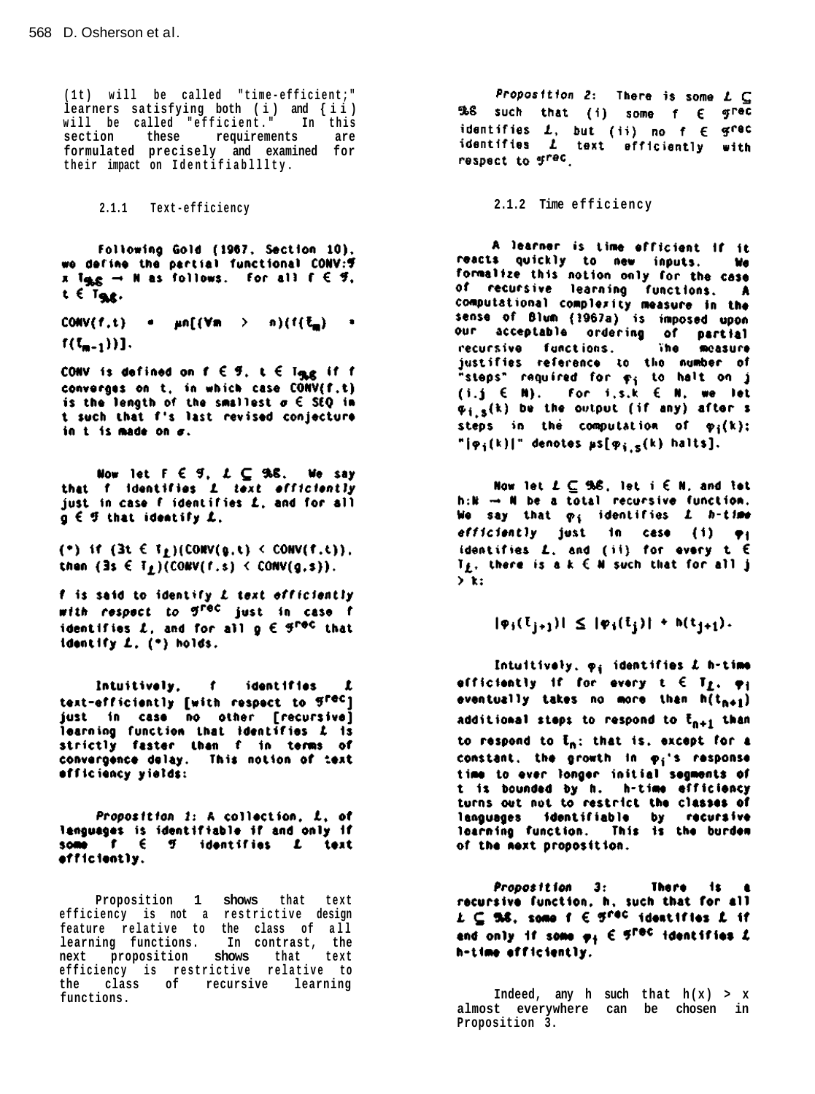**(1t ) wil l be called "time-efficient; " learners satisfying both (i ) and {ii ) wil l be called "efficient. " In this section these requirements are formulated precisely and examined for their impact on Identifiablllty .** 

Following Gold (1967, Section 10), we define the partial functional CONV: 9 x  $I_{\text{SLS}} \rightarrow N$  as follows. For all  $f \in \mathcal{F}$ ,  $t \in T_{S\&S}$ .

CONV(f,t) =  $\mu n[(\forall m \rightarrow n)(f(\xi_m) = 1$  $f(I_{m-1}))$ .

CONV is defined on  $f \in \mathcal{G}$ ,  $t \in T_{\mathcal{B},\mathcal{B}}$  if f converges on t, in which case CONV(f.t) is the length of the smallest  $\sigma \in \overline{SQ}$  in t such that f's last revised conjecture in t is made on  $\sigma$ .

Now let  $F \in \mathcal{G}$ ,  $L \subseteq 9.8$ . We say that f identifies I text efficiently just in case f identifies L, and for all  $g \in F$  that identify  $L$ .

(\*) if  $(3t \in T_f)(\text{Conv}(g,t) \leq \text{Conv}(f,t))$ . then  $(3s \in T_L)(\text{Conv}(f,s) \leq \text{Conv}(g,s))$ .

f is said to identify L text officiently with respect to g<sup>rec</sup> just in case f identifies L, and for all  $g \in \mathcal{G}^{\text{reg}}$  that identify L. (\*) holds.

Intuitively, f identifies  $\mathbf{r}$ text-efficiently [with respect to grec] just in case no other [recursive] learning function that identifies L is strictly faster than f in terms of convergence delay. This notion of text officiency yields:

Proposition 1: A collection, L, of languages is identifiable if and only if some  $f \in \mathcal{G}$  identifies  $L$  text efficiently.

**Proposition 1 shows that text efficiency** is not a restrictive design feature relative to the class of all **learning functions. In contrast, the next proposition shows that text efficiency is restrictive relative to the class of recursive learning** 

Proposition 2: There is some  $L \subseteq$ 968 such that (i) some f E grec identifies  $L$ , but (ii) no  $f \in \mathcal{G}^{\text{rec}}$ <br>identifies  $L$  text efficiently with respect to grec.

**2.1.1 Text-efficiency 2.1.2 Time efficiency** 

A learner is time efficient if it reacts quickly to new inputs. We formalize this notion only for the case of recursive learning functions. A computational complexity measure in the sense of Blum (1967a) is imposed upon our acceptable ordering of partial<br>recursive functions. The measure justifies reference to the number of "steps" required for  $\varphi_j$  to halt on j<br>(i.j  $\in$  N). For i.s.k  $\in$  N, we let  $\varphi_{i,s}(k)$  be the output (if any) after s steps in the computation of  $\varphi_i(k)$ ; " $\left[\phi_{\textbf{i}}(k)\right]$ " denotes  $\mu$ s $\left[\phi_{\textbf{i},\textbf{s}}(k)\right]$  halts].

Now let  $L \subseteq 9.6$ , let i  $\in$  N, and let  $h: \mathbb{R} \rightarrow \mathbb{N}$  be a total recursive function. We say that  $\varphi_i$  identifies  $L$  h-time efficiently just in case (i)  $\varphi_1$ identifies  $L$ , and (ii) for every  $t \in$  $T_f$ , there is a  $k \in M$  such that for all j  $\sum k_i$ 

 $|\psi_j(\mathbf{t}_{j+1})| \leq |\psi_j(\mathbf{t}_j)| + h(\mathbf{t}_{j+1}).$ 

Intuitively,  $\varphi_i$  identifies  $L$  h-time efficiently if for every  $t \in T_f$ ,  $\varphi_i$ eventually takes no more than  $h(t_{n+1})$ additional steps to respond to  $\bar{t}_{n+1}$  than to respond to  $\bar{t}_n$ ; that is, except for a constant, the growth in  $\varphi_i$ 's response time to ever longer initial segments of t is bounded by h. h-time efficiency turns out not to restrict the classes of languages identifiable by recursive learning function. This is the burden of the mext proposition.

Proposition 3: There is recursive function, h, such that for all  $L \subseteq 5.6$ , some f  $\in 5^{red}$  identifies  $L$  if and only if some  $\varphi_1 \in \mathcal{F}^{\text{rec}}$  identifies  $L$ h-time efficiently.

**Indeed, any h such that**  $h(x) > x$ **almost everywhere can be chosen in Proposition 3.**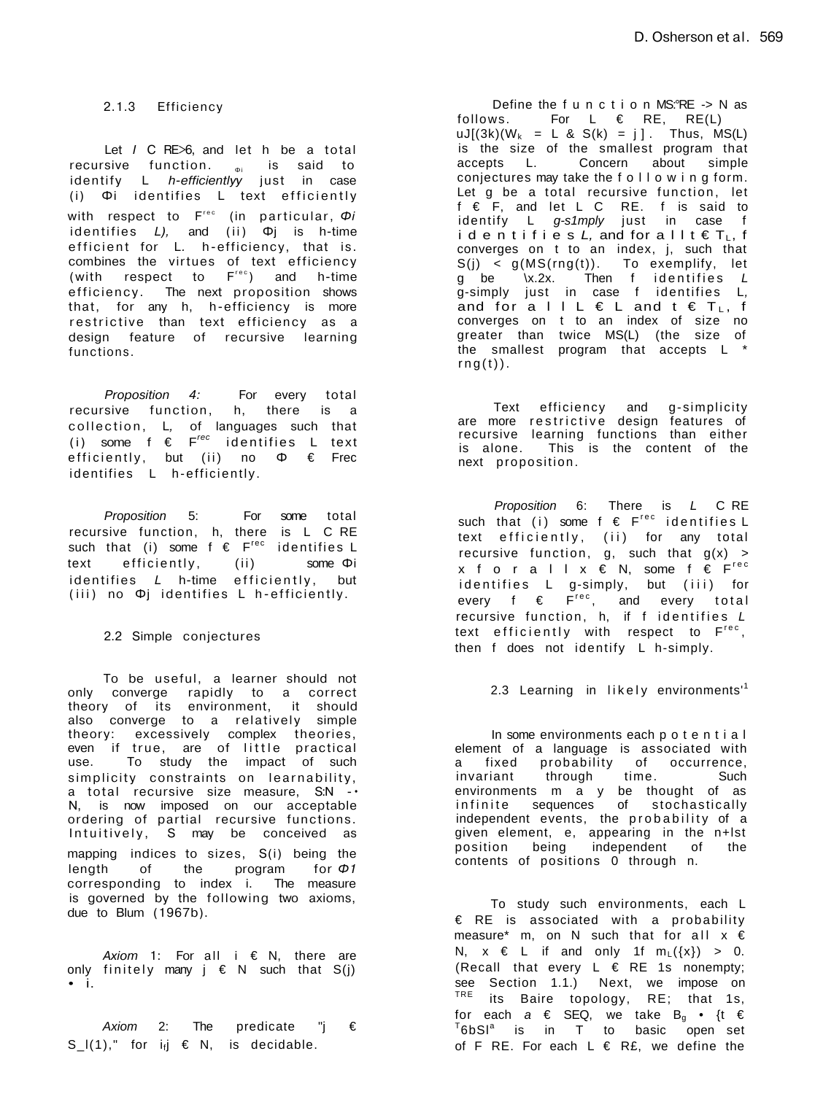2.1.3 Efficiency

Let *I* C RE>6, and let h be a total recursive function. <sub>Φi</sub> is said to identify L *h-efficientlyy* just in case (i) Φi identifies L text efficiently with respect to F<sup>rec</sup> (in particular, Φ*i* identifies *L),* and (ii) Φj is h-time efficient for L. h-efficiency, that is. combines the virtues of text efficiency (with respect to  $F^{\text{rec}}$ ) and h-time efficiency. The next proposition shows that, for any h, h-efficiency is more restrictive than text efficiency as a design feature of recursive learning functions.

*Proposition 4:* For every total recursive function, h, there is a collection , L*,* of languages such that (i) some f €  $F^{rec}$  identifies L text efficiently , but (ii) no Φ € Frec identifies L h-efficiently .

Proposition 5: For some total recursive function, h, there is L C RE such that (i) some  $f \in F^{\text{rec}}$  identifies  $L$ text efficiently, (ii) some Φi identifies *L* h-time efficiently, but (iii) no Φj identifies L h-efficiently.

2.2 Simple conjectures

To be useful, a learner should not only converge rapidly to a correct theory of its environment, it should also converge to a relatively simple theory: excessively complex theories, even if true, are of little practical use. To study the impact of such simplicity constraints on learnability, a total recursive size measure, S:N - · N, is now imposed on our acceptable ordering of partial recursive functions. Intuitively, S may be conceived as mapping indices to sizes, S(i) being the length of the program for *Φ1*  corresponding to index i. The measure is governed by the following two axioms, due to Blum (1967b).

*Axiom* 1: For all i € N, there are only finitely many  $j \in N$  such that  $S(j)$ • i.

Axiom 2: The predicate "j  $\epsilon$  $S_l(1),$ " for i<sub>f</sub>j  $\in$  N, is decidable.

Define the f u n c t i o n MS:°RE -> N as follows. For  $L \in RE$ , RE(L)  $uJ[(3k)(W_k = L & S(k) = j].$  Thus,  $MS(L)$ is the size of the smallest program that accepts L. Concern about simple conjectures may take the f o l l o w i n g form. Let q be a total recursive function, let f € F, and let L C RE. f is said to identify L g-s1mply just in case f i d e n t i f i e s  $L$ , and for a l  $l$  t  $\in T_{L}$ , f converges on t to an index, j, such that S(j) < g(MS(rng(t)). To exemplify, let g be \x.2x. Then f identifies *L* g-simply just in case f identifies L, and for a  $l + L \in L$  and  $t \in T_L$ , f converges on t to an index of size no greater than twice MS(L) (the size of the smallest program that accepts L \*  $rng(t)$ ).

Text efficiency and g-simplicity are more restrictive design features of recursive learning functions than either is alone. This is the content of the next proposition.

Proposition 6: There is L C RE such that (i) some  $f \in F^{\text{rec}}$  identifies L text efficiently, (ii) for any total recursive function, g, such that  $g(x)$  > x f o r a l  $x \in N$ , some f  $\epsilon$  F<sup>rec</sup> id entifies L g-simply, but (iii) for every f  $\epsilon$   $F^{\text{rec}}$ , and every total recursive function, h, if  $f$  identifies  $L$ text efficiently with respect to F<sup>rec</sup>, then f does not identify L h-simply.

2.3 Learning in likely environments<sup>1</sup>

In some environments each p o t e n t i a l element of a language is associated with a fixed probability of occurrence, invariant through time. Such environments m a y be thought of as infinite sequences of stochastically independent events, the probability of a given element, e, appearing in the n+lst position being independent of the contents of positions 0 through n.

To study such environments, each L € RE is associated with a probability measure\* m, on N such that for all  $x \in$ N,  $x \in L$  if and only 1f  $m_L(\{x\}) > 0$ . (Recall that every  $L \in RE$  1s nonempty; see Section 1.1.) Next, we impose on <sup>TRE</sup> its Baire topology, RE; that 1s, for each  $a \in$  SEQ, we take  $B_q \bullet \{t \in$  $^{T}6bS1^{a}$  is in T to basic open set of F RE. For each  $L \in RE$ , we define the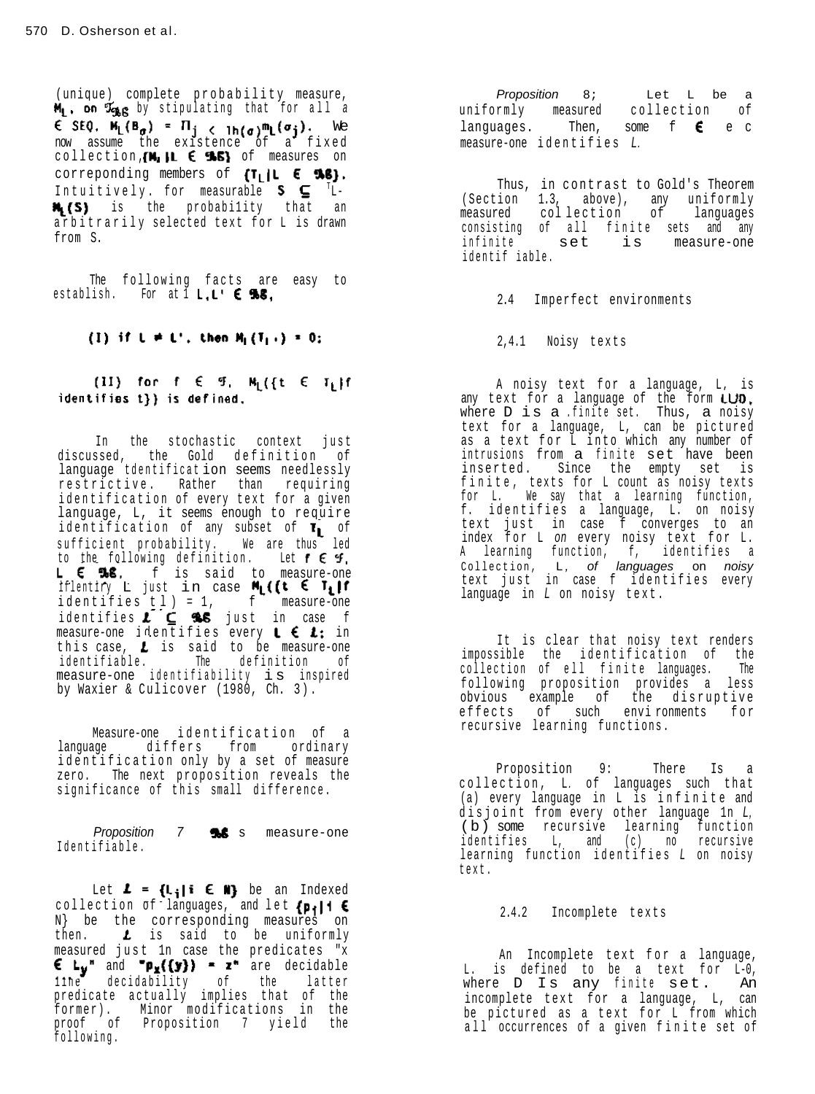(unique) complete probability measure, by stipulating that for all a We now assume the existence of a fixe d collection ,  $\mathbf{m}_1$  , if  $\mathbf{c}_2$  and  $\mathbf{m}_2$  of measures on correponding members of Intuitively. for measurable  $S \subseteq$  <sup>T</sup>Lis the probability that an arbitrarily selected text for L is drawn from S.

The following facts are easy to establish. For at  $I, L' \in \mathcal{R}$ .

# (1) if  $L \neq L'$ , then  $H_1(T_1) = 0$ ;

(II) for  $f \in \mathcal{G}$ ,  $M_1(\{t \in T_1\})$ f identifies t} } is defined.

in the stochastic context just discussed, the Gold definition of<br>language-tdentification-seems-needlessly restrictive. Rather than requiring identification of every text for a given language, L, it seems enough to require laentification of any subset of  $\mathfrak{r}_\blacksquare$  of sufficient probability, we are thus led to the following definition. Let L **t ws**, t is said to measure-one<br>iflentiry L just in case **M<sub>L</sub>((t E T<sub>L</sub>II** identifie s tl ) = 1, f measure-one identifies  $L \subseteq$  565 just in case f measure-one identifies every  $\blacksquare$  to  $\clubsuit$  ; in this case,  $\boldsymbol{L}$  is said to be measure-one identifiable. The definition of<br>
measure-one identifiability is inspired by Waxier & Culicover (1980, Ch. 3) .

Measure-one identification of a language differs from ordinary identification only by a set of measure zero. The next proposition reveals the significance of this small difference.

Proposition 7 **%6** s measure-one Identifiable .

Let  $L = \{L_i | i \in M\}$  be an Indexed collection of languages, and let  $\{p_i\}$ 1  $\in$ N} be the corresponding measures on then. Luis said to be uniformly measured just ln case the predicates "x and  $\mathbf{p_x}$ ({y}} =  $\mathbf{z}$ " are decidable line decidability of the latter predicate actually implies that of the former). Minor modification s in the proof of Proposition 7 yield the following .

Proposition 8; Let L be a uniformly measured collection of languages. Then, some t**e** e c measure-one identifie s L.

Thus, in contrast to Gold's Theorem (Section 1.3, above), any uniformly measured collection of languages consisting of all finite sets and any infinite set is measure-one identii fable.

2.4 Imperfect environments

2,4.1 Noisy texts

A noisy text for a language, L, is any text for a language of the form where  $D$  is a .finite set. Thus, a noisy text for a language, L, can be pictured as a text for L into which any number of<br>intrusions from a finite set have been inserted. Since the empty set is rinite, texts for L count as noisy texts<br>for L. We say that a learning function, f. identifie s a language, L. on noisy text just in case f converges to an index for  $L$  on every noisy text for  $L$ . A learning function, I, identifies a<br>Collection, L, **of** *languages* on *noisy* text just in case f identifies every language in L on noisy text .

It is clear that noisy text renders impossible the identification of the collection of ell finite languages. The following proposition provides a less obvious example of the disruptive effects of such environments for recursive learning functions.

Proposition 9: There Is a collection, L. of languages such that (a) every language in L is infinite and disjoint from every other language  $1n$   $L$ , (b) some recursive learning function identifie s L, and (c) no recursiv e learning function identifies L on noisy text .

# 2.4.2 Incomplete texts

An Incomplete text for a language, L. is defined to be a text for L-0,<br>where D Is any finite set. An incomplete text for a language, L, can be pictured as a text for L from which<br>all occurrences of a given finite set of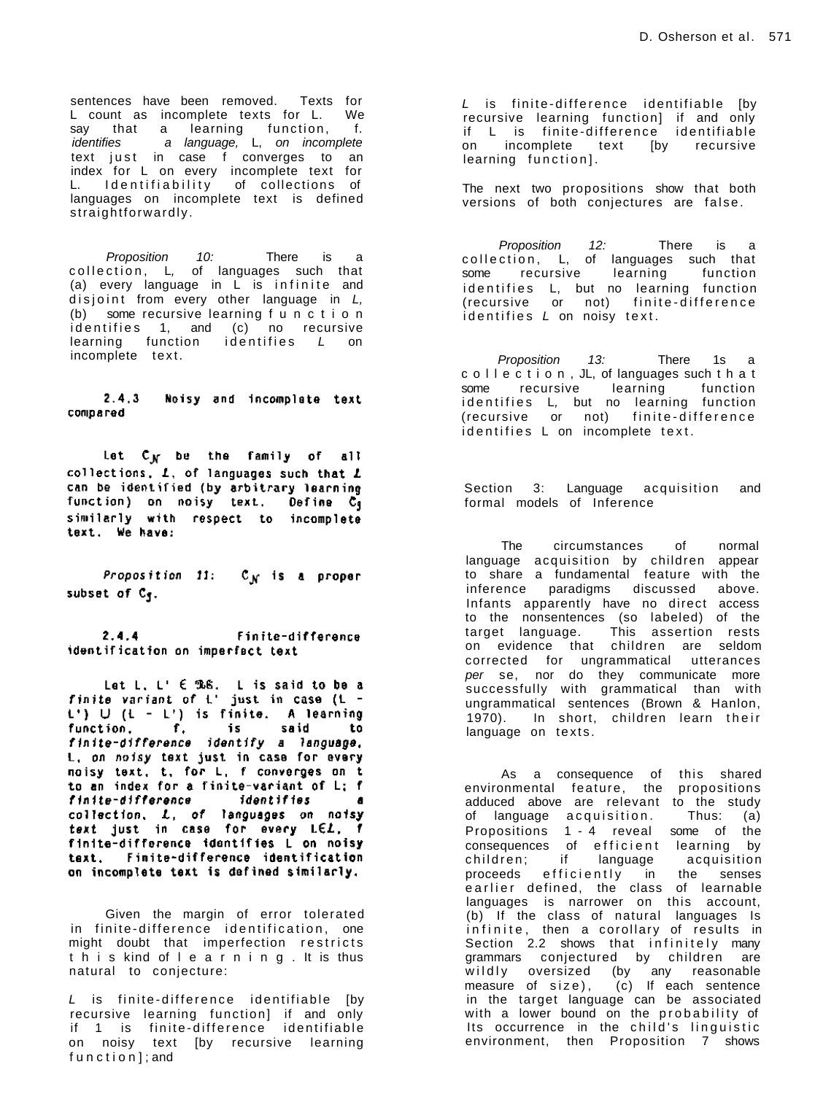sentences have been removed. Texts for L count as incomplete texts for L. We say that a learning function, f. identifies a language, L, on incomplete text just in case f converges to an index for L on every incomplete text for L. Identifiability of collections of languages on incomplete text is defined straightforwardly .

Proposition 10: There is a collection, L, of languages such that (a) every language in  $L$  is infinite and disjoint from every other language in  $L$ , (b) some recursive learning f u n c t i o n identifies 1, and (c) no recursive learning function identifies  $L$  on incomplete text.

#### $2.4.3$ Noisy and incomplate text compared

Let  $C_N$  be the family of all collections,  $L$ , of languages such that  $L$ can be identified (by arbitrary learning<br>function) on noisy text. Define C<sub>3</sub> similarly with respect to incomplete<br>text. We have:

Proposition 11:  $C_{\mathcal{N}}$  is a proper subset of  $C_{\P}$ .

 $2.4.4$ Finite-difference identification on imperfact text

Let L. L'  $\in$  The Let L is said to be a<br>finite variant of L' just in case (L -<br>L')  $\cup$  (L - L') is finite. A learning<br>function, f, is said to<br>finite-difference identify a language,<br>L, on noisy text just in case for ever to an index for a finite-variant of L; f finite-difference identifies a collection, L, of languages on notsy<br>text just in case for every LEL, f finite-difference identifies L on noisy taxt, Finite-difference identification on incomplete text is defined similarly.

Given the margin of error tolerated in finite-difference identification, one might doubt that imperfection restricts t h i s kind of l e a r n i n g . It is thus natural to conjecture:

 $L$  is finite-difference identifiable [by recursive learning function] if and only if 1 is finite-difference identifiable on noisy text [by recursive learning f u n c t i o n ] ; and

 $L$  is finite-difference identifiable [by recursive learning function] if and only if L is finite-difference identifiable if L is finite-difference identifiable<br>on incomplete text [by recursive learning function].

The next two propositions show that both versions of both conjectures are false.

Proposition 12: There is a collection, L, of languages such that some recursive learning function identifies L, but no learning function (recursive or not) finite-difference  $i$  dentifies  $L$  on noisy text.

Proposition 13: There 1s a c o l l e c t i o n , JL, of languages such t h a t some recursive learning function identifies L, but no learning function (recursive or not) finite-difference identifies L on incomplete text.

Section 3: Language acquisition and formal models of Inference

The circumstances of normal language acquisition by children appear to share a fundamental feature with the inference paradigms discussed above. Infants apparently have no direct access to the nonsentences (so labeled) of the target language. This assertion rests on evidence that children are seldom corrected for ungrammatical utterances per se, nor do they communicate more successfully with grammatical than with ungrammatical sentences (Brown & Hanlon, 1970). In short, children learn their language on texts.

As a consequence of this shared environmental feature, the propositions adduced above are relevant to the study of language acquisition. Thus: (a) Propositions 1 - 4 reveal some of the consequences of efficient learning by children ; if language acquisition proceeds efficiently in the senses earlier defined, the class of learnable languages is narrower on this account, (b) If the class of natural languages Is infinite, then a corollary of results in Section 2.2 shows that infinitely many grammars conjectured by children are wildly oversized (by any reasonable measure of  $size$ , (c) If each sentence in the target language can be associated with a lower bound on the probability of Its occurrence in the child's linguistic environment, then Proposition 7 shows